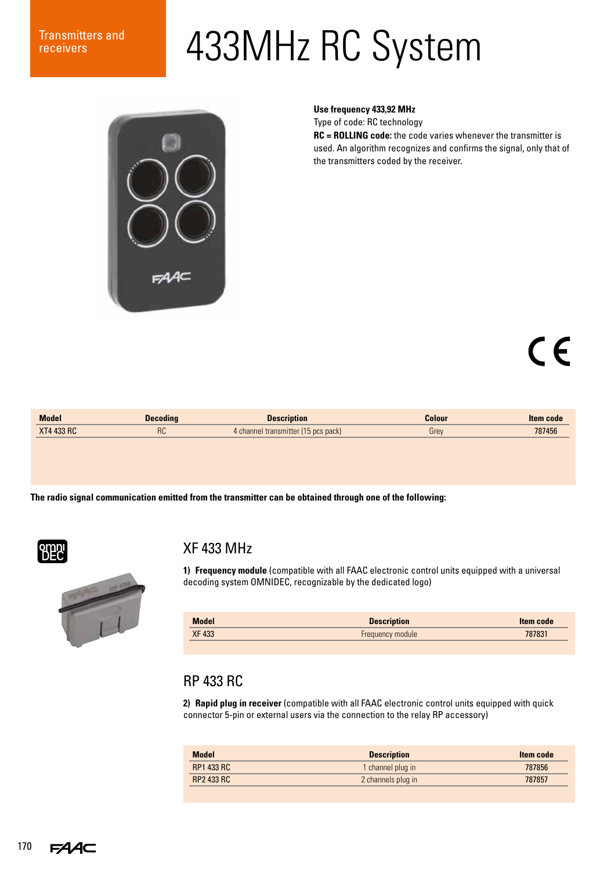# Transmitters and 433MHz RC System



**Use frequency 433,92 MHz**

Type of code: RC technology

**RC = ROLLING code:** the code varies whenever the transmitter is used. An algorithm recognizes and confirms the signal, only that of the transmitters coded by the receiver.

## $\epsilon$

| <b>Model</b>      | <b>Decoding</b> | <b>Description</b>                  | Colour | <b>Item code</b> |
|-------------------|-----------------|-------------------------------------|--------|------------------|
| <b>XT4 433 RC</b> | ∩ה<br>ገሁ        | 4 channel transmitter (15 pcs pack) | Grey   | 787456           |
|                   |                 |                                     |        |                  |

**The radio signal communication emitted from the transmitter can be obtained through one of the following:**



#### XF 433 MHz



**1) Frequency module** (compatible with all FAAC electronic control units equipped with a universal decoding system OMNIDEC, recognizable by the dedicated logo)

| <b>Model</b> | <b>Description</b>      | Item code |
|--------------|-------------------------|-----------|
| <b>XF433</b> | <b>Frequency module</b> | 787831    |
|              |                         |           |

#### RP 433 RC

**2) Rapid plug in receiver** (compatible with all FAAC electronic control units equipped with quick connector 5-pin or external users via the connection to the relay RP accessory)

| <b>Model</b>      | <b>Description</b> | Item code |
|-------------------|--------------------|-----------|
| <b>RP1 433 RC</b> | 1 channel plug in  | 787856    |
| <b>RP2 433 RC</b> | 2 channels plug in | 787857    |
|                   |                    |           |